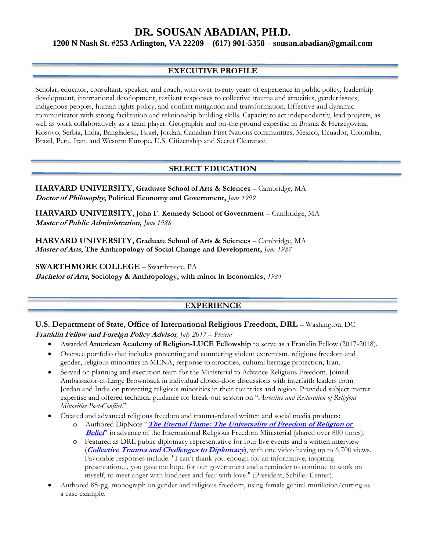**1200 N Nash St. #253 Arlington, VA 22209 – (617) 901-5358 – [sousan.abadian@gmail.com](mailto:sousan.abadian@gmail.com)**

# **EXECUTIVE PROFILE**

Scholar, educator, consultant, speaker, and coach, with over twenty years of experience in public policy, leadership development, international development, resilient responses to collective trauma and atrocities, gender issues, indigenous peoples, human rights policy, and conflict mitigation and transformation. Effective and dynamic communicator with strong facilitation and relationship building skills. Capacity to act independently, lead projects, as well as work collaboratively as a team player. Geographic and on-the ground expertise in Bosnia & Herzegovina, Kosovo, Serbia, India, Bangladesh, Israel, Jordan, Canadian First Nations communities, Mexico, Ecuador, Colombia, Brazil, Peru, Iran, and Western Europe. U.S. Citizenship and Secret Clearance.

# **SELECT EDUCATION**

**HARVARD UNIVERSITY, Graduate School of Arts & Sciences** – Cambridge, MA **Doctor of Philosophy, Political Economy and Government,** *June 1999*

**HARVARD UNIVERSITY, John F. Kennedy School of Government** – Cambridge, MA **Master of Public Administration,** *June 1988*

**HARVARD UNIVERSITY, Graduate School of Arts & Sciences** – Cambridge, MA **Master of Arts, The Anthropology of Social Change and Development,** *June 1987*

**SWARTHMORE COLLEGE** – Swarthmore, PA

**Bachelor of Arts, Sociology & Anthropology, with minor in Economics,** *1984*

# **EXPERIENCE**

# **U.S. Department of State**, **Office of International Religious Freedom, DRL** – Washington, DC **Franklin Fellow and Foreign Policy Advisor***, July 2017 – Present*

- Awarded **American Academy of Religion-LUCE Fellowship** to serve as a Franklin Fellow (2017-2018).
- Oversee portfolio that includes preventing and countering violent extremism, religious freedom and gender, religious minorities in MENA, response to atrocities, cultural heritage protection, Iran.
- Served on planning and execution team for the Ministerial to Advance Religious Freedom. Joined Ambassador-at-Large Brownback in individual closed-door discussions with interfaith leaders from Jordan and India on protecting religious minorities in their countries and region. Provided subject matter expertise and offered technical guidance for break-out session on "*Atrocities and Restoration of Religious Minorities Post-Conflict*."
- Created and advanced religious freedom and trauma-related written and social media products:
	- o Authored DipNote "**[The Eternal Flame: The Universality of Freedom of Religion or](https://blogs.state.gov/stories/2018/07/23/en/eternal-flame-universality-freedom-religion-or-belief)  [Belief](https://blogs.state.gov/stories/2018/07/23/en/eternal-flame-universality-freedom-religion-or-belief)**" in advance of the International Religious Freedom Ministerial (shared over 800 times).
	- o Featured as DRL public diplomacy representative for four live events and a written interview (**[Collective Trauma and Challenges to Diplomacy](http://www.sousanabadian.com/media-features)**), with one video having up to 6,700 views. Favorable responses include: "I can't thank you enough for an informative, inspiring presentation… you gave me hope for our government and a reminder to continue to work on myself, to meet anger with kindness and fear with love." (President, Schiller Center).
- Authored 85-pg. monograph on gender and religious freedom, using female genital mutilation/cutting as a case example.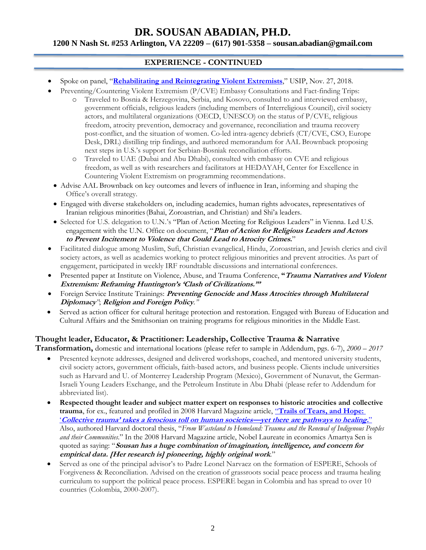## **1200 N Nash St. #253 Arlington, VA 22209 – (617) 901-5358 – [sousan.abadian@gmail.com](mailto:sousan.abadian@gmail.com)**

# **EXPERIENCE - CONTINUED**

- Spoke on panel, "**[Rehabilitating and Reintegrating Violent Extremists](https://www.youtube.com/watch?v=X5n5PGT7fxg&t=32s)**," USIP, Nov. 27, 2018.
- Preventing/Countering Violent Extremism (P/CVE) Embassy Consultations and Fact-finding Trips:
	- o Traveled to Bosnia & Herzegovina, Serbia, and Kosovo, consulted to and interviewed embassy, government officials, religious leaders (including members of Interreligious Council), civil society actors, and multilateral organizations (OECD, UNESCO) on the status of P/CVE, religious freedom, atrocity prevention, democracy and governance, reconciliation and trauma recovery post-conflict, and the situation of women. Co-led intra-agency debriefs (CT/CVE, CSO, Europe Desk, DRL) distilling trip findings, and authored memorandum for AAL Brownback proposing next steps in U.S.'s support for Serbian-Bosniak reconciliation efforts.
	- o Traveled to UAE (Dubai and Abu Dhabi), consulted with embassy on CVE and religious freedom, as well as with researchers and facilitators at HEDAYAH, Center for Excellence in Countering Violent Extremism on programming recommendations.
	- Advise AAL Brownback on key outcomes and levers of influence in Iran, informing and shaping the Office's overall strategy.
	- Engaged with diverse stakeholders on, including academics, human rights advocates, representatives of Iranian religious minorities(Bahai, Zoroastrian, and Christian) and Shi'a leaders.
	- Selected for U.S. delegation to U.N.'s "Plan of Action Meeting for Religious Leaders" in Vienna. Led U.S. engagement with the U.N. Office on document, "**Plan of Action for Religious Leaders and Actors to Prevent Incitement to Violence that Could Lead to Atrocity Crimes.**"
- Facilitated dialogue among Muslim, Sufi, Christian evangelical, Hindu, Zoroastrian, and Jewish clerics and civil society actors, as well as academics working to protect religious minorities and prevent atrocities. As part of engagement, participated in weekly IRF roundtable discussions and international conferences.
- Presented paper at Institute on Violence, Abuse, and Trauma Conference, **"Trauma Narratives and Violent Extremism: Reframing Huntington's 'Clash of Civilizations.'"**
- Foreign Service Institute Trainings: **Preventing Genocide and Mass Atrocities through Multilateral Diplomacy***"*; **Religion and Foreign Policy***."*
- Served as action officer for cultural heritage protection and restoration. Engaged with Bureau of Education and Cultural Affairs and the Smithsonian on training programs for religious minorities in the Middle East.

# **Thought leader, Educator, & Practitioner: Leadership, Collective Trauma & Narrative**

**Transformation,** domestic and international locations (please refer to sample in Addendum, pgs. 6-7), *2000 – 2017*

- Presented keynote addresses, designed and delivered workshops, coached, and mentored university students, civil society actors, government officials, faith-based actors, and business people. Clients include universities such as Harvard and U. of Monterrey Leadership Program (Mexico), Government of Nunavut, the German-Israeli Young Leaders Exchange, and the Petroleum Institute in Abu Dhabi (please refer to Addendum for abbreviated list).
- **Respected thought leader and subject matter expert on responses to historic atrocities and collective trauma**, for ex., featured and profiled in 2008 Harvard Magazine article, "**[Trails of Tears, and Hope:](https://harvardmagazine.com/2008/03/trails-of-tears-and-hope)** '**[Collective trauma' takes a ferocious toll on human societies—](https://harvardmagazine.com/2008/03/trails-of-tears-and-hope)yet there are pathways to healing.**" Also, authored Harvard doctoral thesis, "*From Wasteland to Homeland: Trauma and the Renewal of Indigenous Peoples and their Communities*." In the 2008 Harvard Magazine article, Nobel Laureate in economics Amartya Sen is quoted as saying: "**Sousan has a huge combination of imagination, intelligence, and concern for empirical data. [Her research is] pioneering, highly original work**."
- Served as one of the principal advisor's to Padre Leonel Narvaez on the formation of ESPERE, Schools of Forgiveness & Reconciliation. Advised on the creation of grassroots social peace process and trauma healing curriculum to support the political peace process. ESPERE began in Colombia and has spread to over 10 countries (Colombia, 2000-2007).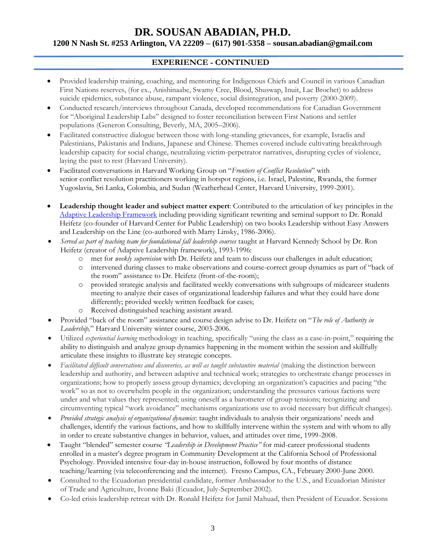# **1200 N Nash St. #253 Arlington, VA 22209 – (617) 901-5358 – [sousan.abadian@gmail.com](mailto:sousan.abadian@gmail.com)**

# **EXPERIENCE - CONTINUED**

- Provided leadership training, coaching, and mentoring for Indigenous Chiefs and Council in various Canadian First Nations reserves, (for ex., Anishinaabe, Swamy Cree, Blood, Shuswap, Inuit, Lac Brochet) to address suicide epidemics, substance abuse, rampant violence, social disintegration, and poverty (2000-2009).
- Conducted research/interviews throughout Canada, developed recommendations for Canadian Government for "Aboriginal Leadership Labs" designed to foster reconciliation between First Nations and settler populations (Generon Consulting, Beverly, MA, 2005–2006).
- Facilitated constructive dialogue between those with long-standing grievances, for example, Israelis and Palestinians, Pakistanis and Indians, Japanese and Chinese. Themes covered include cultivating breakthrough leadership capacity for social change, neutralizing victim-perpetrator narratives, disrupting cycles of violence, laying the past to rest (Harvard University).
- Facilitated conversations in Harvard Working Group on "*Frontiers of Conflict Resolution*" with senior conflict resolution practitioners working in hotspot regions, i.e. Israel, Palestine, Rwanda, the former Yugoslavia, Sri Lanka, Colombia, and Sudan (Weatherhead Center, Harvard University, 1999-2001).
- **Leadership thought leader and subject matter expert**: Contributed to the articulation of key principles in the [Adaptive Leadership Framework](https://books.google.com/books?id=86OJwyvGzCoC&pg=PR15&lpg=PR15&dq=Sousan+Abadian+adaptive+leadership&source=bl&ots=b2HZMyN-7X&sig=e0Yp_wIvgK4aEUZDnggu0GuwXn4&hl=en&sa=X&ved=2ahUKEwiT_pS99bXeAhXQxVkKHZ9UCMUQ6AEwCHoECAgQAQ#v=onepage&q=Sousan%20Abadian%20adaptive%20leadership&f=false) including providing significant rewriting and seminal support to Dr. Ronald Heifetz (co-founder of Harvard Center for Public Leadership) on two books Leadership without Easy Answers and Leadership on the Line (co-authored with Marty Linsky, 1986-2006).
- *Served as part of teaching team for foundational fall leadership courses* taught at Harvard Kennedy School by Dr. Ron Heifetz (creator of Adaptive Leadership framework), 1993-1996:
	- o met for *weekly supervision* with Dr. Heifetz and team to discuss our challenges in adult education;
	- o intervened during classes to make observations and course-correct group dynamics as part of "back of the room" assistance to Dr. Heifetz (front-of-the-room);
	- o provided strategic analysis and facilitated weekly conversations with subgroups of midcareer students meeting to analyze their cases of organizational leadership failures and what they could have done differently; provided weekly written feedback for cases;
	- o Received distinguished teaching assistant award.
- Provided "back of the room" assistance and course design advise to Dr. Heifetz on "*The role of Authority in Leadership,*" Harvard University winter course, 2003-2006.
- Utilized *experiential learning* methodology in teaching, specifically "using the class as a case-in-point," requiring the ability to distinguish and analyze group dynamics happening in the moment within the session and skillfully articulate these insights to illustrate key strategic concepts.
- *Facilitated difficult conversations and discoveries, as well as taught substantive material* (making the distinction between leadership and authority, and between adaptive and technical work; strategies to orchestrate change processes in organizations; how to properly assess group dynamics; developing an organization's capacities and pacing "the work" so as not to overwhelm people in the organization; understanding the pressures various factions were under and what values they represented; using oneself as a barometer of group tensions; recognizing and circumventing typical "work avoidance" mechanisms organizations use to avoid necessary but difficult changes).
- *Provided strategic analysis of organizational dynamics*: taught individuals to analysis their organizations' needs and challenges, identify the various factions, and how to skillfully intervene within the system and with whom to ally in order to create substantive changes in behavior, values, and attitudes over time, 1999-2008.
- Taught "blended" semester course *"Leadership in Development Practice"* for mid-career professional students enrolled in a master's degree program in Community Development at the California School of Professional Psychology. Provided intensive four-day in-house instruction, followed by four months of distance teaching/learning (via teleconferencing and the internet). Fresno Campus, CA., February 2000-June 2000.
- Consulted to the Ecuadorian presidential candidate, former Ambassador to the U.S., and Ecuadorian Minister of Trade and Agriculture, Ivonne Baki (Ecuador, July-September 2002).
- Co-led crisis leadership retreat with Dr. Ronald Heifetz for Jamil Mahuad, then President of Ecuador. Sessions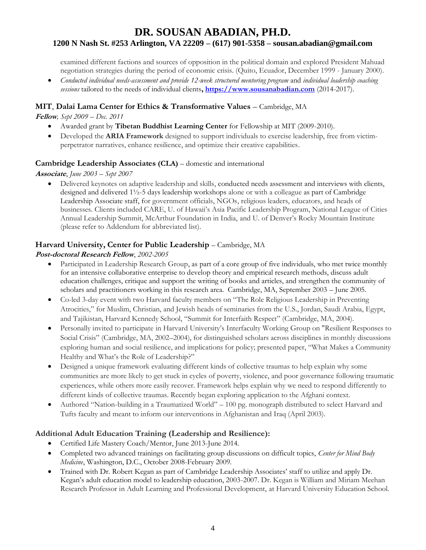# **DR. SOUSAN ABADIAN, PH.D. 1200 N Nash St. #253 Arlington, VA 22209 – (617) 901-5358 – [sousan.abadian@gmail.com](mailto:sousan.abadian@gmail.com)**

examined different factions and sources of opposition in the political domain and explored President Mahuad negotiation strategies during the period of economic crisis. (Quito, Ecuador, December 1999 - January 2000).

• *Conducted individual needs-assessment and provide 12-week structured mentoring program* and *individual leadership coaching sessions* tailored to the needs of individual clients**, [https://www.sousanabadian.com](https://www.sousanabadian.com/)** (2014-2017).

# **MIT**, **Dalai Lama Center for Ethics & Transformative Values** – Cambridge, MA

**Fellow***, Sept 2009 – Dec. 2011*

- Awarded grant by **Tibetan Buddhist Learning Center** for Fellowship at MIT (2009-2010).
- Developed the **ARIA Framework** designed to support individuals to exercise leadership, free from victimperpetrator narratives, enhance resilience, and optimize their creative capabilities.

### **Cambridge Leadership Associates (CLA)** – domestic and international

**Associate**, *June 2003 – Sept 2007*

• Delivered keynotes on adaptive leadership and skills, conducted needs assessment and interviews with clients, designed and delivered 1½-5 days leadership workshops alone or with a colleague as part of Cambridge Leadership Associate staff, for government officials, NGOs, religious leaders, educators, and heads of businesses. Clients included CARE, U. of Hawaii's Asia Pacific Leadership Program, National League of Cities Annual Leadership Summit, McArthur Foundation in India, and U. of Denver's Rocky Mountain Institute (please refer to Addendum for abbreviated list).

# **Harvard University, Center for Public Leadership** – Cambridge, MA

### **Post-doctoral Research Fellow**, *2002-2005*

- Participated in Leadership Research Group, as part of a core group of five individuals, who met twice monthly for an intensive collaborative enterprise to develop theory and empirical research methods, discuss adult education challenges, critique and support the writing of books and articles, and strengthen the community of scholars and practitioners working in this research area. Cambridge, MA, September 2003 – June 2005.
- Co-led 3-day event with two Harvard faculty members on "The Role Religious Leadership in Preventing Atrocities," for Muslim, Christian, and Jewish heads of seminaries from the U.S., Jordan, Saudi Arabia, Egypt, and Tajikistan, Harvard Kennedy School, "Summit for Interfaith Respect" (Cambridge, MA, 2004).
- Personally invited to participate in Harvard University's Interfaculty Working Group on "Resilient Responses to Social Crisis" (Cambridge, MA, 2002–2004), for distinguished scholars across disciplines in monthly discussions exploring human and social resilience, and implications for policy; presented paper, "What Makes a Community Healthy and What's the Role of Leadership?"
- Designed a unique framework evaluating different kinds of collective traumas to help explain why some communities are more likely to get stuck in cycles of poverty, violence, and poor governance following traumatic experiences, while others more easily recover. Framework helps explain why we need to respond differently to different kinds of collective traumas. Recently began exploring application to the Afghani context.
- Authored "Nation-building in a Traumatized World" 100 pg. monograph distributed to select Harvard and Tufts faculty and meant to inform our interventions in Afghanistan and Iraq (April 2003).

# **Additional Adult Education Training (Leadership and Resilience):**

- Certified Life Mastery Coach/Mentor, June 2013-June 2014.
- Completed two advanced trainings on facilitating group discussions on difficult topics, *Center for Mind Body Medicine*, Washington, D.C., October 2008-February 2009.
- Trained with Dr. Robert Kegan as part of Cambridge Leadership Associates' staff to utilize and apply Dr. Kegan's adult education model to leadership education, 2003-2007. Dr. Kegan is William and Miriam Meehan Research Professor in Adult Learning and Professional Development, at Harvard University Education School.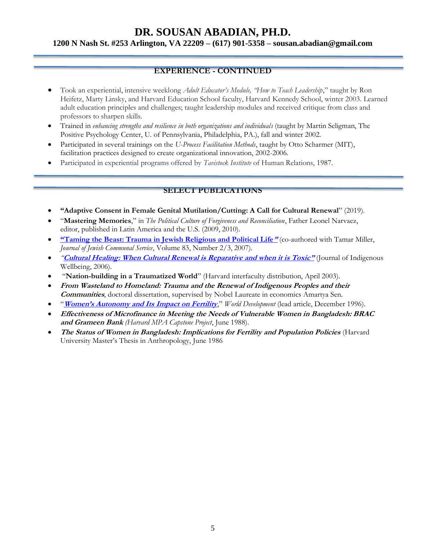**1200 N Nash St. #253 Arlington, VA 22209 – (617) 901-5358 – [sousan.abadian@gmail.com](mailto:sousan.abadian@gmail.com)**

# **EXPERIENCE - CONTINUED**

- Took an experiential, intensive weeklong *Adult Educator's Module, "How to Teach Leadership*," taught by Ron Heifetz, Marty Linsky, and Harvard Education School faculty, Harvard Kennedy School, winter 2003. Learned adult education principles and challenges; taught leadership modules and received critique from class and professors to sharpen skills.
- Trained in *enhancing strengths and resilience in both organizations and individuals* (taught by Martin Seligman, The Positive Psychology Center, U. of Pennsylvania, Philadelphia, PA.), fall and winter 2002.
- Participated in several trainings on the *U-Process Facilitation Methods*, taught by Otto Scharmer (MIT), facilitation practices designed to create organizational innovation, 2002-2006.
- Participated in experiential programs offered by *Tavistock Institute* of Human Relations, 1987.

## **SELECT PUBLICATIONS**

- **"Adaptive Consent in Female Genital Mutilation/Cutting: A Call for Cultural Renewal**" (2019).
- "**Mastering Memories**," in *The Political Culture of Forgiveness and Reconciliation*, Father Leonel Narvaez, editor, published in Latin America and the U.S. (2009, 2010).
- **"[Taming the Beast: Trauma in Jewish Religious and Political Life](http://abrahamicfamilyreunion.org/taming-the-beasttrauma-in-jewish-religious-political-life/)"** (co-authored with Tamar Miller, *Journal of Jewish Communal Service*, Volume 83, Number 2/3, 2007).
- *"***[Cultural Healing: When Cultural Renewal is Reparative and when it is Toxic](https://journalindigenouswellbeing.com/volume-4-2-fall-2006/cultural-healing-when-cultural-renewal-is-reparative-and-when-is-it-toxic/)"** (Journal of Indigenous Wellbeing, 2006).
- "**Nation-building in a Traumatized World**" (Harvard interfaculty distribution, April 2003).
- **From Wasteland to Homeland: Trauma and the Renewal of Indigenous Peoples and their Communities**, doctoral dissertation, supervised by Nobel Laureate in economics Amartya Sen.
- "**[Women's Autonomy and Its Impact on Fertility](https://www.sciencedirect.com/science/article/pii/S0305750X96000757)**," *World Development* (lead article, December 1996).
- **Effectiveness of Microfinance in Meeting the Needs of Vulnerable Women in Bangladesh: BRAC and Grameen Bank** *(Harvard MPA Capstone Project*, June 1988).
- **The Status of Women in Bangladesh: Implications for Fertility and Population Policies** (Harvard University Master's Thesis in Anthropology, June 1986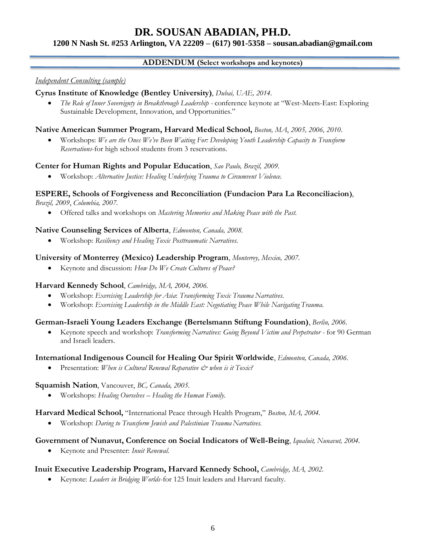# **1200 N Nash St. #253 Arlington, VA 22209 – (617) 901-5358 – [sousan.abadian@gmail.com](mailto:sousan.abadian@gmail.com)**

## **ADDENDUM (Select workshops and keynotes)**

#### *Independent Consulting (sample)*

# **Cyrus Institute of Knowledge (Bentley University)**, *Dubai, UAE, 2014.*

• *The Role of Inner Sovereignty in Breakthrough Leadership -* conference keynote at "West-Meets-East: Exploring Sustainable Development, Innovation, and Opportunities."

#### **Native American Summer Program, Harvard Medical School,** *Boston, MA*, *2005, 2006, 2010*.

• Workshops: *We are the Ones We've Been Waiting For: Developing Youth Leadership Capacity to Transform Reservations*-for high school students from 3 reservations.

#### **Center for Human Rights and Popular Education**, *Sao Paulo, Brazil, 2009.*

• Workshop: *Alternative Justice: Healing Underlying Trauma to Circumvent Violence.*

### **ESPERE, Schools of Forgiveness and Reconciliation (Fundacion Para La Reconciliacion)**,

*Brazil, 2009*, *Columbia, 2007.*

• Offered talks and workshops on *Mastering Memories and Making Peace with the Past.*

#### **Native Counseling Services of Alberta**, *Edmonton, Canada, 2008.*

• Workshop: *Resiliency and Healing Toxic Posttraumatic Narratives.*

#### **University of Monterrey (Mexico) Leadership Program**, *Monterrey, Mexico, 2007.*

• Keynote and discussion: *How Do We Create Cultures of Peace?*

#### **Harvard Kennedy School**, *Cambridge, MA, 2004, 2006.*

- Workshop: *Exercising Leadership for Asia*: *Transforming Toxic Trauma Narratives.*
- Workshop: *Exercising Leadership in the Middle East: Negotiating Peace While Navigating Trauma.*

#### **German-Israeli Young Leaders Exchange (Bertelsmann Stiftung Foundation)**, *Berlin, 2006.*

• Keynote speech and workshop: *Transforming Narratives: Going Beyond Victim and Perpetrator -* for 90 German and Israeli leaders.

#### **International Indigenous Council for Healing Our Spirit Worldwide**, *Edmonton, Canada, 2006.*

• Presentation: *When is Cultural Renewal Reparative*  $\mathcal{O}$  *when is it Toxic?* 

#### **Squamish Nation**, Vancouver, *BC, Canada, 2005*.

• Workshops: *Healing Ourselves – Healing the Human Family.*

#### **Harvard Medical School,** "International Peace through Health Program," *Boston, MA, 2004.*

Workshop: *Daring to Transform Jewish and Palestinian Trauma Narratives*.

#### **Government of Nunavut, Conference on Social Indicators of Well-Being**, *Iqualuit, Nunavut, 2004.*

• Keynote and Presenter: *Inuit Renewal.*

#### **Inuit Executive Leadership Program, Harvard Kennedy School,** *Cambridge, MA, 2002.*

• Keynote: *Leaders in Bridging Worlds*-for 125 Inuit leaders and Harvard faculty.